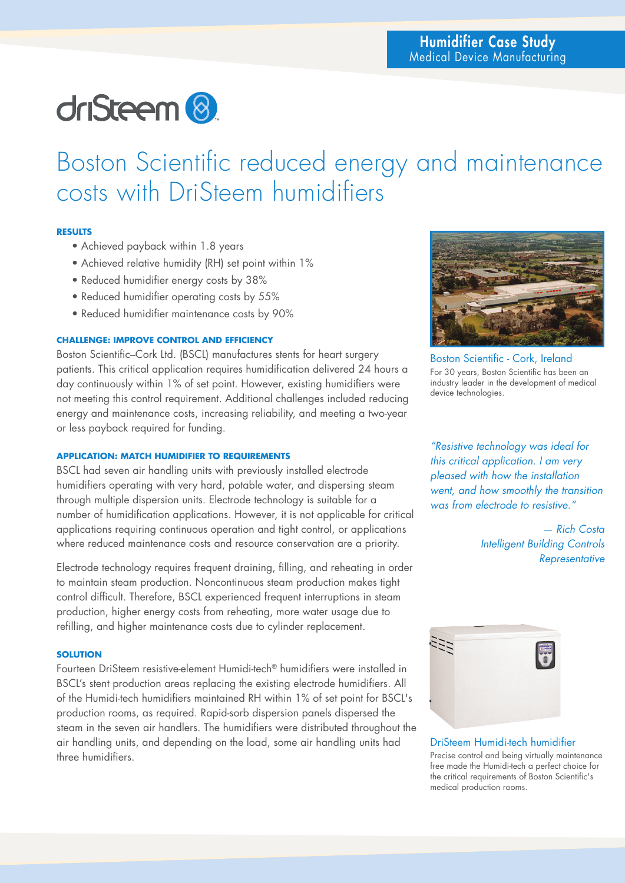# driSteem<sup>8</sup>

## Boston Scientific reduced energy and maintenance costs with DriSteem humidifiers

### **RESULTS**

- Achieved payback within 1.8 years
- Achieved relative humidity (RH) set point within 1%
- Reduced humidifier energy costs by 38%
- Reduced humidifier operating costs by 55%
- Reduced humidifier maintenance costs by 90%

### **CHALLENGE: IMPROVE CONTROL AND EFFICIENCY**

Boston Scientific–Cork Ltd. (BSCL) manufactures stents for heart surgery patients. This critical application requires humidification delivered 24 hours a day continuously within 1% of set point. However, existing humidifiers were not meeting this control requirement. Additional challenges included reducing energy and maintenance costs, increasing reliability, and meeting a two-year or less payback required for funding.

#### **APPLICATION: MATCH HUMIDIFIER TO REQUIREMENTS**

BSCL had seven air handling units with previously installed electrode humidifiers operating with very hard, potable water, and dispersing steam through multiple dispersion units. Electrode technology is suitable for a number of humidification applications. However, it is not applicable for critical applications requiring continuous operation and tight control, or applications where reduced maintenance costs and resource conservation are a priority.

Electrode technology requires frequent draining, filling, and reheating in order to maintain steam production. Noncontinuous steam production makes tight control difficult. Therefore, BSCL experienced frequent interruptions in steam production, higher energy costs from reheating, more water usage due to refilling, and higher maintenance costs due to cylinder replacement.

#### **SOLUTION**

Fourteen DriSteem resistive-element Humidi-tech® humidifiers were installed in BSCL's stent production areas replacing the existing electrode humidifiers. All of the Humidi-tech humidifiers maintained RH within 1% of set point for BSCL's production rooms, as required. Rapid-sorb dispersion panels dispersed the steam in the seven air handlers. The humidifiers were distributed throughout the air handling units, and depending on the load, some air handling units had three humidifiers.



#### Boston Scientific - Cork, Ireland For 30 years, Boston Scientific has been an industry leader in the development of medical device technologies.

*"Resistive technology was ideal for this critical application. I am very pleased with how the installation went, and how smoothly the transition was from electrode to resistive."*

> *— Rich Costa Intelligent Building Controls Representative*



DriSteem Humidi-tech humidifier Precise control and being virtually maintenance free made the Humidi-tech a perfect choice for the critical requirements of Boston Scientific's medical production rooms.